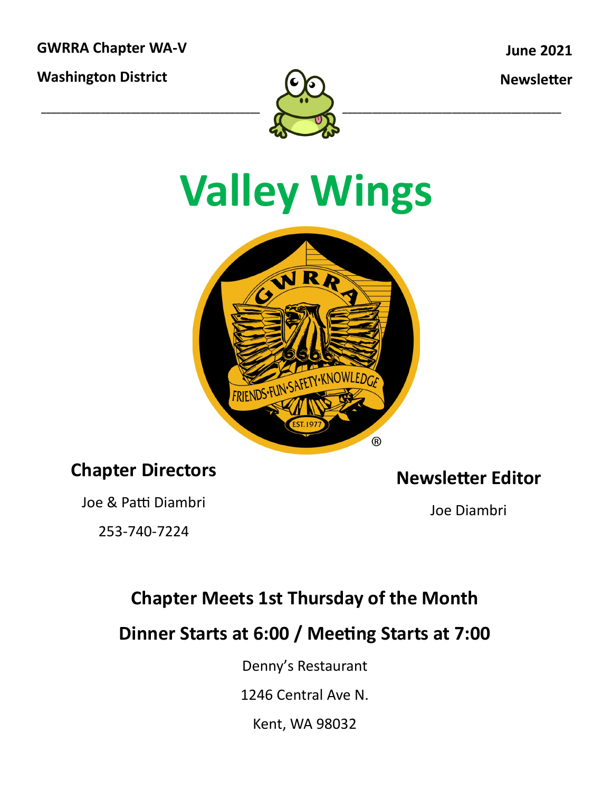**GWRRA Chapter WA-V**

**Washington District**

**June 2021**

**Newsletter**



# **Valley Wings**



#### **Chapter Directors**

Joe & Patti Diambri

253-740-7224

**Newsletter Editor**

Joe Diambri

### **Chapter Meets 1st Thursday of the Month**

**Dinner Starts at 6:00 / Meeting Starts at 7:00**

Denny's Restaurant

1246 Central Ave N.

Kent, WA 98032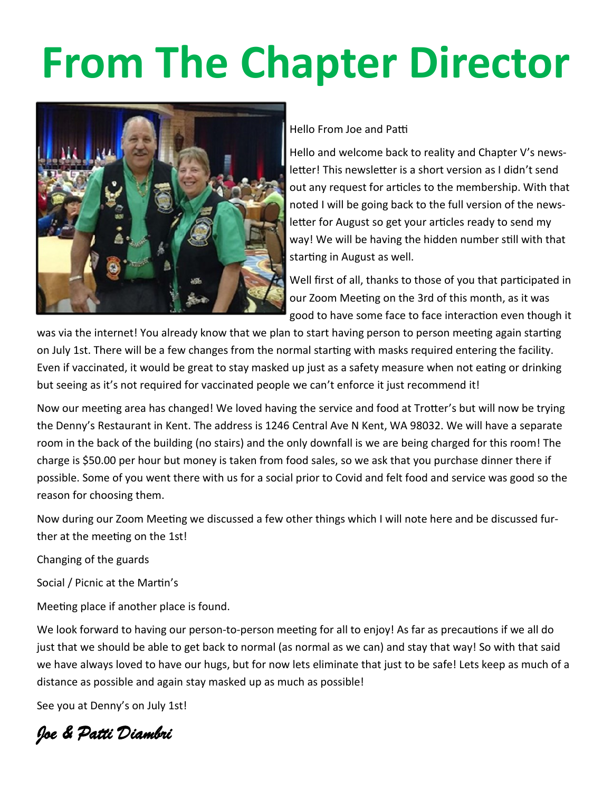# **From The Chapter Director**



Hello From Joe and Patti

Hello and welcome back to reality and Chapter V's newsletter! This newsletter is a short version as I didn't send out any request for articles to the membership. With that noted I will be going back to the full version of the newsletter for August so get your articles ready to send my way! We will be having the hidden number still with that starting in August as well.

Well first of all, thanks to those of you that participated in our Zoom Meeting on the 3rd of this month, as it was good to have some face to face interaction even though it

was via the internet! You already know that we plan to start having person to person meeting again starting on July 1st. There will be a few changes from the normal starting with masks required entering the facility. Even if vaccinated, it would be great to stay masked up just as a safety measure when not eating or drinking but seeing as it's not required for vaccinated people we can't enforce it just recommend it!

Now our meeting area has changed! We loved having the service and food at Trotter's but will now be trying the Denny's Restaurant in Kent. The address is 1246 Central Ave N Kent, WA 98032. We will have a separate room in the back of the building (no stairs) and the only downfall is we are being charged for this room! The charge is \$50.00 per hour but money is taken from food sales, so we ask that you purchase dinner there if possible. Some of you went there with us for a social prior to Covid and felt food and service was good so the reason for choosing them.

Now during our Zoom Meeting we discussed a few other things which I will note here and be discussed further at the meeting on the 1st!

Changing of the guards

Social / Picnic at the Martin's

Meeting place if another place is found.

We look forward to having our person-to-person meeting for all to enjoy! As far as precautions if we all do just that we should be able to get back to normal (as normal as we can) and stay that way! So with that said we have always loved to have our hugs, but for now lets eliminate that just to be safe! Lets keep as much of a distance as possible and again stay masked up as much as possible!

See you at Denny's on July 1st!

*Joe & Patti Diambri*